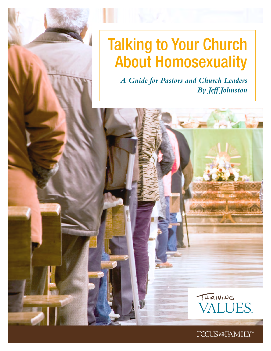# Talking to Your Church About Homosexuality

*A Guide for Pastors and Church Leaders By Jeff Johnston*



THRIVING

FOCUS THE FAMILY®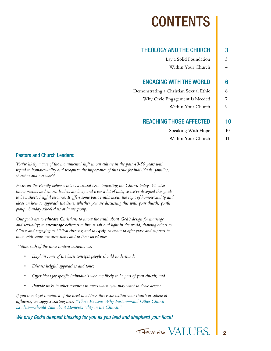# CONTENTS

## [THEOLOGY AND THE CHURCH](#page-2-0) | 3

| Lay a Solid Foundation | 3 |
|------------------------|---|
| Within Your Church     | 4 |

## [ENGAGING WITH THE WORLD](#page-5-0)  $\blacksquare$  6

[Demonstrating a Christian Sexual Ethic](#page-5-0) 6

[Why Civic Engagement Is Needed](#page-6-0) 7

[Within Your Church](#page-8-0) 9

## [REACHING THOSE AFFECTED](#page-9-0) | 10

Speaking With Hope  $\vert$  10 [Within Your Church 11](#page-10-0)

#### Pastors and Church Leaders:

*You're likely aware of the monumental shift in our culture in the past 40-50 years with regard to homosexuality and recognize the importance of this issue for individuals, families, churches and our world.* 

*Focus on the Family believes this is a crucial issue impacting the Church today. We also know pastors and church leaders are busy and wear a lot of hats, so we've designed this guide to be a short, helpful resource. It offers some basic truths about the topic of homosexuality and ideas on how to approach the issue, whether you are discussing this with your church, youth group, Sunday school class or home group.* 

*Our goals are to educate Christians to know the truth about God's design for marriage and sexuality; to encourage believers to live as salt and light in the world, drawing others to Christ and engaging as biblical citizens; and to equip churches to offer grace and support to those with same-sex attractions and to their loved ones.* 

*Within each of the three content sections, we:*

- *• Explain some of the basic concepts people should understand;*
- *• Discuss helpful approaches and tone;*
- *• Offer ideas for specific individuals who are likely to be part of your church; and*
- *• Provide links to other resources in areas where you may want to delve deeper.*

*If you're not yet convinced of the need to address this issue within your church or sphere of influence, we suggest starting here: ["Three Reasons Why Pastors—and Other Church](http://www.focusonthefamily.com/socialissues/sexuality/three-reasons-why-pastors-and-other-church-leaders-should-talk-about-homosexuality-in-the-church)  [Leaders—Should Talk about Homosexuality in the Church."](http://www.focusonthefamily.com/socialissues/sexuality/three-reasons-why-pastors-and-other-church-leaders-should-talk-about-homosexuality-in-the-church)*

*We pray God's deepest blessing for you as you lead and shepherd your flock!*

THRIVING VALLIES

 $\overline{2}$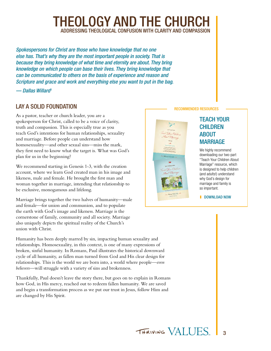## THEOLOGY AND THE CHURCH ADDRESSING THEOLOGICAL CONFUSION WITH CLARITY AND COMPASSION

<span id="page-2-0"></span>*Spokespersons for Christ are those who have knowledge that no one else has. That's why they are the most important people in society. That is*  because they bring knowledge of what time and eternity are about. They bring *knowledge on which people can base their lives. They bring knowledge that can be communicated to others on the basis of experience and reason and Scripture and grace and work and everything else you want to put in the bag.*

*— Dallas Willar[d1](#page-12-0)*

## LAY A SOLID FOUNDATION

As a pastor, teacher or church leader, you are a spokesperson for Christ, called to be a voice of clarity, truth and compassion. This is especially true as you teach God's intentions for human relationships, sexuality and marriage. Before people can understand how homosexuality—and other sexual sins—miss the mark, they first need to know what the target is. What was God's plan for us in the beginning?

We recommend starting in Genesis 1-3, with the creation account, where we learn God created man in his image and likeness, male and female. He brought the first man and woman together in marriage, intending that relationship to be exclusive, monogamous and lifelong.

Marriage brings together the two halves of humanity—male and female—for union and communion, and to populate the earth with God's image and likeness. Marriage is the cornerstone of family, community and all society. Marriage also uniquely depicts the spiritual reality of the Church's union with Christ.

Humanity has been deeply marred by sin, impacting human sexuality and relationships. Homosexuality, in this context, is one of many expressions of broken, sinful humanity. In Romans, Paul illustrates the historical downward cycle of all humanity, as fallen man turned from God and His clear design for relationships. This is the world we are born into, a world where people—*even believers*—will struggle with a variety of sins and brokenness.

Thankfully, Paul doesn't leave the story there, but goes on to explain in Romans how God, in His mercy, reached out to redeem fallen humanity. We are saved and begin a transformation process as we put our trust in Jesus, follow Him and are changed by His Spirit.

#### RECOMMENDED RESOURCES



## TEACH YOUR **CHILDREN** ABOUT **MARRIAGE**

We highly recommend downloading our two-part "Teach Your Children About Marriage" resource, which is designed to help children (and adults!) understand why God's design for marriage and family is so important.

I [DOWNLOAD NOW](https://focusonthefamily.webconnex.com/co-mwcsinspirethrive-feb2014?refcd=187602)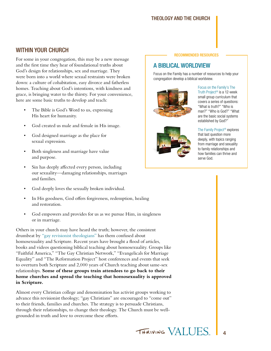#### Theology and The Church

## <span id="page-3-0"></span>WITHIN YOUR CHURCH

For some in your congregation, this may be a new message and the first time they hear of foundational truths about God's design for relationships, sex and marriage. They were born into a world where sexual restraints were broken down: a culture of cohabitation, easy divorce and fatherless homes. Teaching about God's intentions, with kindness and grace, is bringing water to the thirsty. For your convenience, here are some basic truths to develop and teach:

- The Bible is God's Word to us, expressing His heart for humanity.
- God created us male and female in His image.
- God designed marriage as the place for sexual expression.
- Both singleness and marriage have value and purpose.
- Sin has deeply affected every person, including our sexuality—damaging relationships, marriages and families.
- God deeply loves the sexually broken individual.
- In His goodness, God offers forgiveness, redemption, healing and restoration.
- God empowers and provides for us as we pursue Him, in singleness or in marriage.

Others in your church may have heard the truth; however, the consistent drumbeat by ["gay revisionist theologians"](http://bit.ly/1GbhHkC) has them confused about homosexuality and Scripture. Recent years have brought a flood of articles, books and videos questioning biblical teaching about homosexuality. Groups like "Faithful America," "The Gay Christian Network," "Evangelicals for Marriage Equality" and "The Reformation Project" host conferences and events that seek to overturn both Scripture and 2,000 years of Church teaching about same-sex relationships. **Some of these groups train attendees to go back to their home churches and spread the teaching that homosexuality is approved in Scripture.** 

Almost every Christian college and denomination has activist groups working to advance this revisionist theology; "gay Christians" are encouraged to "come out" to their friends, families and churches. The strategy is to persuade Christians, through their relationships, to change their theology. The Church must be wellgrounded in truth and love to overcome these efforts.

#### RECOMMENDED RESOURCES

## A BIBLICAL WORLDVIEW

Focus on the Family has a number of resources to help your congregation develop a biblical worldview.



Focus on the Family's [The](http://www.thetruthproject.org/whatistruthproject/)  [Truth Project®](http://www.thetruthproject.org/whatistruthproject/) is a 12-week small group curriculum that covers a series of questions: "What is truth?" "Who is man?" "Who is God?" "What are the basic social systems established by God?"



[The Family Project®](http://www.familyproject.com/) explores that last question more deeply, with topics ranging from marriage and sexuality to family relationships and how families can thrive and serve God.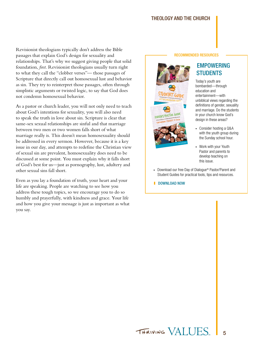#### Theology and The Church

Revisionist theologians typically don't address the Bible passages that explain God's design for sexuality and relationships. That's why we suggest giving people that solid foundation, *first*. Revisionist theologians usually turn right to what they call the "clobber verses"— those passages of Scripture that directly call out homosexual lust and behavior as sin. They try to reinterpret those passages, often through simplistic arguments or twisted logic, to say that God does not condemn homosexual behavior.

As a pastor or church leader, you will not only need to teach about God's intentions for sexuality, you will also need to speak the truth in love about sin. Scripture is clear that same-sex sexual relationships are sinful and that marriage between two men or two women falls short of what marriage really is. This doesn't mean homosexuality should be addressed in every sermon. However, because it is a key issue in our day, and attempts to redefine the Christian view of sexual sin are prevalent, homosexuality does need to be discussed at some point. You must explain why it falls short of God's best for us—just as pornography, lust, adultery and other sexual sins fall short.

Even as you lay a foundation of truth, your heart and your life are speaking. People are watching to see how you address these tough topics, so we encourage you to do so humbly and prayerfully, with kindness and grace. Your life and how you give your message is just as important as what you say.

#### RECOMMENDED RESOURCES



## EMPOWERING **STUDENTS**

Today's youth are bombarded—through education and entertainment—with unbiblical views regarding the definitions of gender, sexuality and marriage. Do the students in your church know God's design in these areas?

- Consider hosting a Q&A with the youth group during the Sunday school hour.
- Work with your Youth Pastor and parents to develop teaching on this issue.
- Download our free Day of Dialogue<sup>®</sup> Pastor/Parent and Student Guides for practical tools, tips and resources.
- I [DOWNLOAD NOW](https://focusonthefamily.webconnex.com/co-dod2015?refcd=139301)

5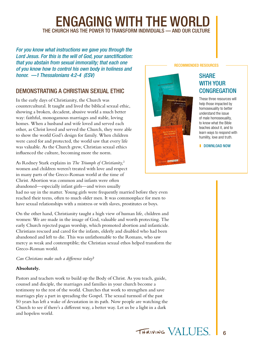# <span id="page-5-0"></span>**ENGAGING WITH THE WORL** THE CHURCH HAS THE POWER TO TRANSFORM INDIVIDUALS — AND OUR CULTURE

*For you know what instructions we gave you through the Lord Jesus. For this is the will of God, your sanctification: that you abstain from sexual immorality; that each one of you know how to control his own body in holiness and honor. —1 Thessalonians 4:2-4 (ESV)*

## DEMONSTRATING A CHRISTIAN SEXUAL ETHIC

In the early days of Christianity, the Church was countercultural. It taught and lived the biblical sexual ethic, showing a broken, decadent, abusive world a much better way: faithful, monogamous marriages and stable, loving homes. When a husband and wife loved and served each other, as Christ loved and served the Church, they were able to show the world God's design for family. When children were cared for and protected, the world saw that every life was valuable. As the Church grew, Christian sexual ethics influenced the culture, becoming more the norm.

As Rodney Stark explains in *The Triumph of Christianity,*[2](#page-12-1) women and children weren't treated with love and respect in many parts of the Greco-Roman world at the time of Christ. Abortion was common and infants were often abandoned—especially infant girls—and wives usually had no say in the matter. Young girls were frequently married before they even

reached their teens, often to much older men. It was commonplace for men to have sexual relationships with a mistress or with slaves, prostitutes or boys.

On the other hand, Christianity taught a high view of human life, children and women: We are made in the image of God, valuable and worth protecting. The early Church rejected pagan worship, which promoted abortion and infanticide. Christians rescued and cared for the infants, elderly and disabled who had been abandoned and left to die. This was unfathomable to the Romans, who saw mercy as weak and contemptible; the Christian sexual ethos helped transform the Greco-Roman world.

*Can Christians make such a difference today?* 

#### **Absolutely.**

Pastors and teachers work to build up the Body of Christ. As you teach, guide, counsel and disciple, the marriages and families in your church become a testimony to the rest of the world. Churches that work to strengthen and save marriages play a part in spreading the Gospel. The sexual turmoil of the past 50 years has left a wake of devastation in its path. Now people are watching the Church to see if there's a different way, a better way. Let us be a light in a dark and hopeless world.

#### RECOMMENDED RESOURCES

## **SHARE** WITH YOUR **CONGREGATION**

These three resources will help those impacted by homosexuality to better understand the issue of male homosexuality, to know what the Bible teaches about it, and to learn ways to respond with humility, love and truth.

I [DOWNLOAD NOW](https://focusonthefamily.webconnex.com/co-tvsexuality?refcd=209501)

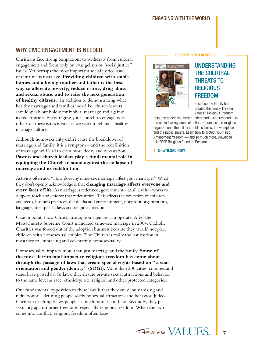## <span id="page-6-0"></span>WHY CIVIC ENGAGEMENT IS NEEDED

Christians face strong temptations to withdraw from cultural engagement and focus only on evangelism or "social justice" issues. Yet perhaps the most important social justice issue of our time is marriage. **Providing children with stable homes and a loving mother and father is the best way to alleviate poverty; reduce crime, drug abuse and sexual abuse; and to raise the next generation of healthy citizens.**[3](#page-12-2) In addition to demonstrating what healthy marriages and families look like, church leaders should speak out boldly for biblical marriage and against its redefinition. Encouraging your church to engage with others on these issues is vital, as we work to rebuild a healthy marriage culture.

Although homosexuality didn't cause the breakdown of marriage and family, it is a symptom—and the redefinition of marriage will lead to even more decay and devastation. **Pastors and church leaders play a fundamental role in equipping the Church to stand against the collapse of marriage and its redefinition.** 

Activists often ask, "How does my same-sex marriage affect your marriage?" What they don't openly acknowledge is that **changing marriage affects everyone and every facet of life.** As marriage is redefined, government—at all levels—works to support, teach and enforce that redefinition. This affects the education of children and teens, business practices, the media and entertainment, nonprofit organizations, language, free speech, laws and religious freedom.

Case in point: How Christian adoption agencies can operate. After the Massachusetts Supreme Court mandated same-sex marriage in 2004, Catholic Charities was forced out of the adoption business because they would not place children with homosexual couples. The Church is really the last bastion of resistance to embracing and celebrating homosexuality.

Homosexuality impacts more than just marriage and the family. **Some of the most detrimental impact to religious freedom has come about through the passage of laws that create special rights based on "sexual orientation and gender identity" (SOGI).** More than 200 cities, counties and states have passed SOGI laws, that elevate private sexual attractions and behavior to the same level as race, ethnicity, sex, religion and other protected categories.

Our fundamental opposition to these laws is that they are dehumanizing and reductionist—defining people solely by sexual attractions and behavior. Judeo-Christian teaching views people as much more than these. Secondly, they pit sexuality against other freedoms, especially religious freedom. When the two come into conflict, religious freedom often loses.

#### RECOMMENDED RESOURCE



## UNDERSTANDING THE CULTURAL THREATS TO **RELIGIOUS** FREEDOM

Focus on the Family has created this timely Thriving Values™ Religious Freedom

resource to help you better understand—and respond—to threats in five key areas of culture: Churches and religious organizations, the military, public schools, the workplace, and the public square. Learn how to protect your First Amendment freedom — and so much more. Download this FREE Religious Freedom Resource.

#### I [DOWNLOAD NOW](https://focusonthefamily.webconnex.com/thrivingvalues?refcd=209501)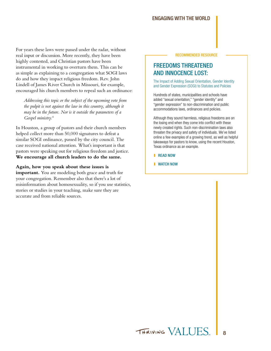#### Engaging With the World

For years these laws were passed under the radar, without real input or discussion. More recently, they have been highly contested, and Christian pastors have been instrumental in working to overturn them. This can be as simple as explaining to a congregation what SOGI laws do and how they impact religious freedom. Rev. John Lindell of James River Church in Missouri, for example, encouraged his church members to repeal such an ordinance:

*Addressing this topic or the subject of the upcoming vote from the pulpit is not against the law in this country, although it may be in the future. Nor is it outside the parameters of a Gospel ministry.*[4](#page-12-3)

In Houston, a group of pastors and their church members helped collect more than 50,000 signatures to defeat a similar SOGI ordinance, passed by the city council. The case received national attention. What's important is that pastors were speaking out for religious freedom and justice. **We encourage all church leaders to do the same.** 

#### **Again, how you speak about these issues is**

**important.** You are modeling both grace and truth for your congregation. Remember also that there's a lot of misinformation about homosexuality, so if you use statistics, stories or studies in your teaching, make sure they are accurate and from reliable sources.

RECOMMENDED RESOURCE

## FREEDOMS THREATENED AND INNOCENCE LOST:

The Impact of Adding Sexual Orientation, Gender Identity and Gender Expression (SOGI) to Statutes and Policies

Hundreds of states, municipalities and schools have added "sexual orientation," "gender identity" and "gender expression" to non-discrimination and public accommodations laws, ordinances and policies.

Although they sound harmless, religious freedoms are on the losing end when they come into conflict with these newly created rights. Such non-discrimination laws also threaten the privacy and safety of individuals. We've listed online a few examples of a growing trend, as well as helpful takeaways for pastors to know, using the recent Houston, Texas ordinance as an example.

- I [READ NOW](http://bit.ly/1JUcCSa)
- **I** [WATCH NOW](https://www.youtube.com/watch?v=FXDoJOLhgz4)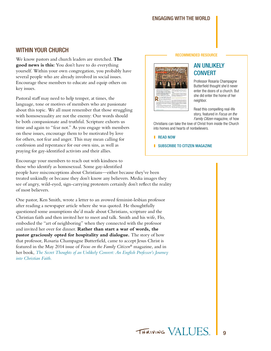#### Engaging With the World

## <span id="page-8-0"></span>WITHIN YOUR CHURCH

We know pastors and church leaders are stretched. **The good news is this:** You don't have to do everything yourself. Within your own congregation, you probably have several people who are already involved in social issues. Encourage these members to educate and equip others on key issues.

Pastoral staff may need to help temper, at times, the language, tone or motives of members who are passionate about this topic. We all must remember that those struggling with homosexuality are not the enemy: Our words should be both compassionate and truthful. Scripture exhorts us time and again to "fear not." As you engage with members on these issues, encourage them to be motivated by love for others, not fear and anger. This may mean calling for confession and repentance for our own sins, as well as praying for gay-identified activists and their allies.

Encourage your members to reach out with kindness to those who identify as homosexual. Some gay-identified

people have misconceptions about Christians—either because they've been treated unkindly or because they don't know any believers. Media images they see of angry, wild-eyed, sign-carrying protesters certainly don't reflect the reality of most believers.

One pastor, Ken Smith, wrote a letter to an avowed feminist-lesbian professor after reading a newspaper article where she was quoted. He thoughtfully questioned some assumptions she'd made about Christians, scripture and the Christian faith and then invited her to meet and talk. Smith and his wife, Flo, embodied the "art of neighboring" when they connected with the professor and invited her over for dinner. **Rather than start a war of words, the pastor graciously opted for hospitality and dialogue.** The story of how that professor, Rosaria Champagne Butterfield, came to accept Jesus Christ is featured in the May 2014 issue of *Focus on the Family Citizen*® magazine, and in her book, *[The Secret Thoughts of an Unlikely Convert: An English Professor's Journey](http://family.christianbook.com/thoughts-unlikely-expanded-edition-professors-christian/rosaria-butterfield/9781884527807/pd/527807?event=ESRCG)  [into Christian Faith.](http://family.christianbook.com/thoughts-unlikely-expanded-edition-professors-christian/rosaria-butterfield/9781884527807/pd/527807?event=ESRCG)*

#### RECOMMENDED RESOURCE



## AN UNLIKELY **CONVERT**

Professor Rosaria Champagne Butterfield thought she'd never enter the doors of a church. But she did enter the home of her neighbor.

Read this compelling real-life story, featured in *Focus on the Family Citizen* magazine, of how

Christians can take the love of Christ from inside the Church into homes and hearts of nonbelievers.

I [READ NOW](http://bit.ly/1QFUz2K)

**I** [SUBSCRIBE TO CITIZEN MAGAZINE](http://family.christianbook.com/citizen-magazine/pd/1CMUSA10?p=1173429&event=ORC)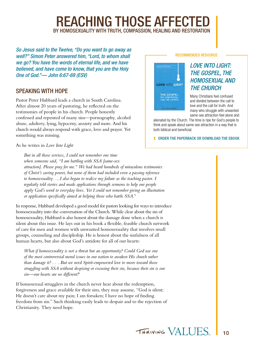# **REACHING THOSE AFFECTE** BY HOMOSEXUALITY WITH TRUTH, COMPASSION, HEALING AND RESTORATION

<span id="page-9-0"></span>*So Jesus said to the Twelve, "Do you want to go away as well?" Simon Peter answered him, "Lord, to whom shall we go? You have the words of eternal life, and we have believed, and have come to know, that you are the Holy One of God."— John 6:67-69 (ESV)*

## SPEAKING WITH HOPE

Pastor Peter Hubbard leads a church in South Carolina. After almost 20 years of pastoring, he reflected on the testimonies of people in his church. People honestly confessed and repented of many sins—pornography, alcohol abuse, adultery, lying, hypocrisy, anxiety and more. And his church would always respond with grace, love and prayer. Yet something was missing.

As he writes in *Love Into Light*

*But in all those services, I could not remember one time when someone said, "I am battling with SSA [same-sex attraction]. Please pray for me." We had heard hundreds of miraculous testimonies of Christ's saving power, but none of them had included even a passing reference to homosexuality. …I also began to realize my failure as the teaching pastor. I regularly told stories and made applications through sermons to help our people apply God's word to everyday lives. Yet I could not remember giving an illustration or application specifically aimed at helping those who battle SSA.*[5](#page-12-4)

In response, Hubbard developed a good model for pastors looking for ways to introduce homosexuality into the conversation of the Church. While clear about the sin of homosexuality, Hubbard is also honest about the damage done when a church is silent about this issue. He lays out in his book a flexible, feasible church network of care for men and women with unwanted homosexuality that involves small groups, counseling and discipleship. He is honest about the sinfulness of all human hearts, but also about God's antidote for all of our hearts:

*What if homosexuality is not a threat but an opportunity? Could God use one of the most controversial moral issues in our nation to awaken His church rather than damage it? . . . But we need Spirit-empowered love to move toward those struggling with SSA without despising or excusing their sin, because their sin is our sin—our hearts are no different!*[6](#page-12-5)

If homosexual strugglers in the church never hear about the redemption, forgiveness and grace available for their sins, they may assume, "God is silent; He doesn't care about my pain; I am forsaken; I have no hope of finding freedom from sin." Such thinking easily leads to despair and to the rejection of Christianity. They need hope.

#### RECOMMENDED RESOURCE



## *LOVE INTO LIGHT: THE GOSPEL, THE HOMOSEXUAL AND THE CHURCH*

Many Christians feel confused and divided between the call to love and the call for truth. And many who struggle with unwanted same-sex attraction feel alone and

alienated by the Church. The time is ripe for God's people to think and speak about same-sex attraction in a way that is both biblical and beneficial.

**I** [ORDER THE PAPERBACK](http://bit.ly/1bq4VVa) [OR DOWNLOAD THE EBOOK](http://bit.ly/1bgdVvv)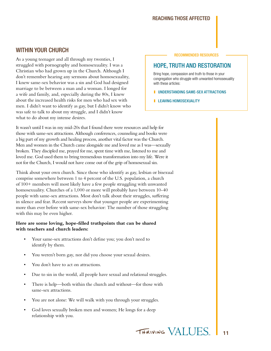#### Reaching Those Affected

## <span id="page-10-0"></span>WITHIN YOUR CHURCH

As a young teenager and all through my twenties, I struggled with pornography and homosexuality. I was a Christian who had grown up in the Church. Although I don't remember hearing any sermons about homosexuality, I knew same-sex behavior was a sin and God had designed marriage to be between a man and a woman. I longed for a wife and family, and, especially during the 80s, I knew about the increased health risks for men who had sex with men. I didn't want to identify as gay, but I didn't know who was safe to talk to about my struggle, and I didn't know what to do about my intense desires.

#### RECOMMENDED RESOURCES

## HOPE, TRUTH AND RESTORATION

Bring hope, compassion and truth to those in your congregation who struggle with unwanted homosexuality with these articles:

**I** [UNDERSTANDING SAME-SEX ATTRACTIONS](http://www.focusonthefamily.com/socialissues/defending-your-values/understanding-same-sex-attractions/understand-same-sex-attractions)

**I** [LEAVING HOMOSEXUALITY](http://www.focusonthefamily.com/socialissues/sexuality/leaving-homosexuality/leaving-homosexuality)

It wasn't until I was in my mid-20s that I found there were resources and help for those with same-sex attractions. Although conferences, counseling and books were a big part of my growth and healing process, another vital factor was the Church. Men and women in the Church came alongside me and loved me as I was—sexually broken. They discipled me, prayed for me, spent time with me, listened to me and loved me. God used them to bring tremendous transformation into my life. Were it not for the Church, I would not have come out of the grip of homosexual sin.

Think about your own church. Since those who identify as gay, lesbian or bisexual comprise somewhere between 1 to 4 percent of the U.S. population, a church of 100+ members will most likely have a few people struggling with unwanted homosexuality. Churches of a 1,000 or more will probably have between 10-40 people with same-sex attractions. Most don't talk about their struggles, suffering in silence and fear. Recent surveys show that younger people are experimenting more than ever before with same-sex behavior: The number of those struggling with this may be even higher.

#### **Here are some loving, hope-filled truthpoints that can be shared with teachers and church leaders:**

- Your same-sex attractions don't define you; you don't need to identify by them.
- You weren't born gay, nor did you choose your sexual desires.
- You don't have to act on attractions.
- Due to sin in the world, all people have sexual and relational struggles.
- There is help—both within the church and without—for those with same-sex attractions.
- You are not alone: We will walk with you through your struggles.
- God loves sexually broken men and women; He longs for a deep relationship with you.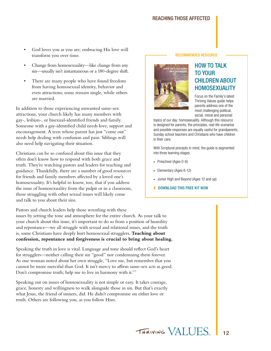#### Reaching Those Affected

- God loves you as you are; embracing His love will transform you over time.
- Change from homosexuality—like change from any sin—usually isn't instantaneous or a 180-degree shift.
- There are many people who have found freedom from having homosexual identity, behavior and even attractions; some remain single, while others are married.

In addition to those experiencing unwanted same-sex attractions, your church likely has many members with gay-, lesbian-, or bisexual-identified friends and family. Someone with a gay-identified child needs love, support and encouragement. A teen whose parent has just "come out" needs help dealing with confusion and pain. Siblings will also need help navigating their situation.

Christians can be so confused about this issue that they often don't know how to respond with both grace and truth. They're watching pastors and leaders for teaching and guidance. Thankfully, there are a number of good resources for friends and family members affected by a loved one's homosexuality. It's helpful to know, too, that if you address the issue of homosexuality from the pulpit or in a classroom, those struggling with other sexual issues will likely come and talk to you about their sins.

Pastors and church leaders help those wrestling with these issues by setting the tone and atmosphere for the entire church. As your talk to your church about this issue, it's important to do so from a position of humility and repentance—we all struggle with sexual and relational issues, and the truth

#### is, some Christians have deeply hurt homosexual strugglers. **Teaching about confession, repentance and forgiveness is crucial to bring about healing.**

Speaking the truth in love is vital. Language and tone should reflect God's heart for strugglers—neither calling their sin "good" nor condemning them forever. As one woman noted about her own struggle, "Love me, but remember that you cannot be more merciful than God. It isn't mercy to affirm same-sex acts as good. Don't compromise truth; help me to live in harmony with it."[7](#page-12-6)

Speaking out on issues of homosexuality is not simple or easy. It takes courage, grace, honesty and willingness to walk alongside those in sin. But that's exactly what Jesus, the friend of sinners, did. He didn't compromise on either love or truth. Others are following you, as you follow Him.

#### RECOMMENDED RESOURCE



## HOW TO TALK TO YOUR CHILDREN ABOUT HOMOSEXUALITY

Focus on the Family's latest Thriving Values guide helps parents address one of the most challenging political, social, moral and personal

topics of our day: homosexuality. Although this resource is designed for parents, the principles, real-life scenarios and possible responses are equally useful for grandparents, Sunday school teachers and Christians who have children in their care.

With Scriptural precepts in mind, the guide is segmented into three learning stages:

- Preschool (Ages 0-6)
- Elementary (Ages 6-12)
- Junior High and Beyond (Ages 12 and up)
- **[DOWNLOAD THIS FREE KIT NOW](https://focusonthefamily.webconnex.com/co-tvkit4)**